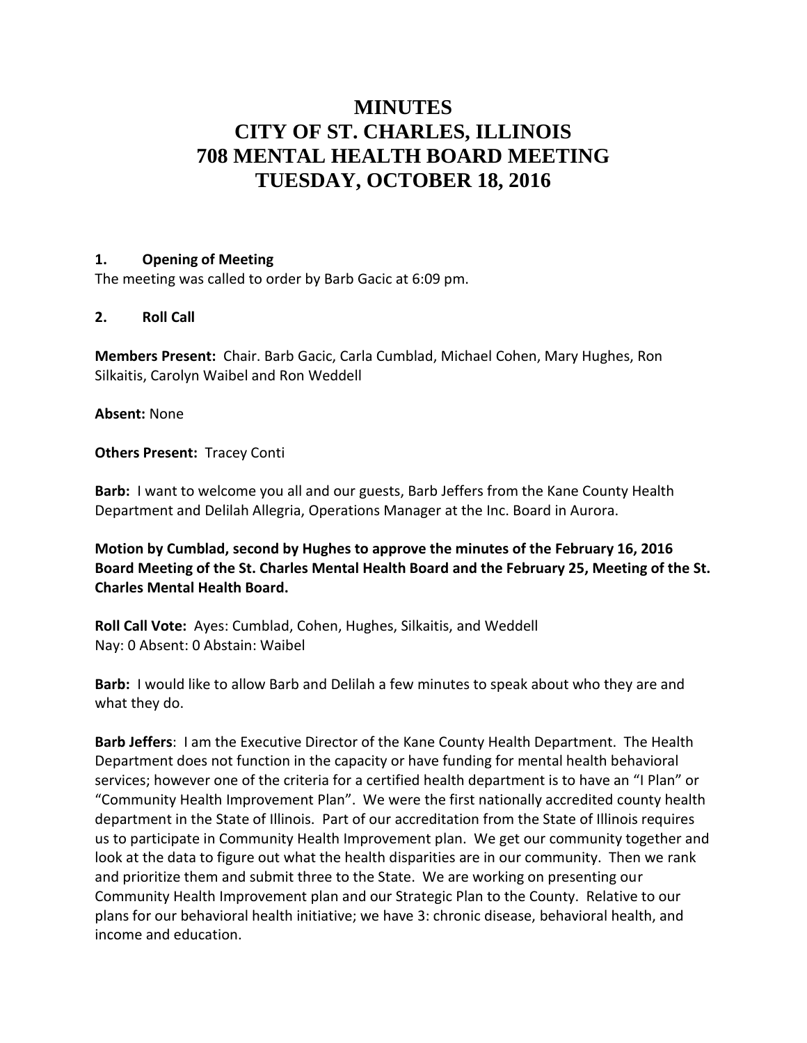## **MINUTES CITY OF ST. CHARLES, ILLINOIS 708 MENTAL HEALTH BOARD MEETING TUESDAY, OCTOBER 18, 2016**

## **1. Opening of Meeting**

The meeting was called to order by Barb Gacic at 6:09 pm.

## **2. Roll Call**

**Members Present:** Chair. Barb Gacic, Carla Cumblad, Michael Cohen, Mary Hughes, Ron Silkaitis, Carolyn Waibel and Ron Weddell

**Absent:** None

**Others Present: Tracey Conti** 

**Barb:** I want to welcome you all and our guests, Barb Jeffers from the Kane County Health Department and Delilah Allegria, Operations Manager at the Inc. Board in Aurora.

**Motion by Cumblad, second by Hughes to approve the minutes of the February 16, 2016 Board Meeting of the St. Charles Mental Health Board and the February 25, Meeting of the St. Charles Mental Health Board.** 

**Roll Call Vote:** Ayes: Cumblad, Cohen, Hughes, Silkaitis, and Weddell Nay: 0 Absent: 0 Abstain: Waibel

**Barb:** I would like to allow Barb and Delilah a few minutes to speak about who they are and what they do.

**Barb Jeffers**: I am the Executive Director of the Kane County Health Department. The Health Department does not function in the capacity or have funding for mental health behavioral services; however one of the criteria for a certified health department is to have an "I Plan" or "Community Health Improvement Plan". We were the first nationally accredited county health department in the State of Illinois. Part of our accreditation from the State of Illinois requires us to participate in Community Health Improvement plan. We get our community together and look at the data to figure out what the health disparities are in our community. Then we rank and prioritize them and submit three to the State. We are working on presenting our Community Health Improvement plan and our Strategic Plan to the County. Relative to our plans for our behavioral health initiative; we have 3: chronic disease, behavioral health, and income and education.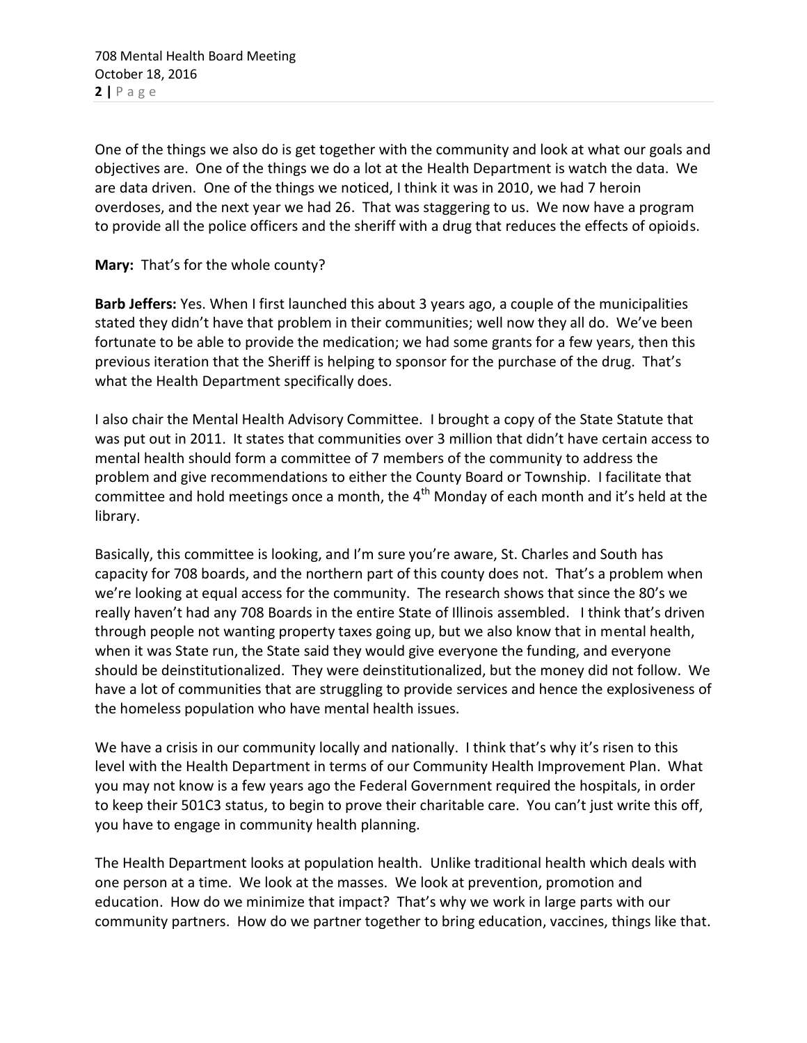One of the things we also do is get together with the community and look at what our goals and objectives are. One of the things we do a lot at the Health Department is watch the data. We are data driven. One of the things we noticed, I think it was in 2010, we had 7 heroin overdoses, and the next year we had 26. That was staggering to us. We now have a program to provide all the police officers and the sheriff with a drug that reduces the effects of opioids.

**Mary:** That's for the whole county?

**Barb Jeffers:** Yes. When I first launched this about 3 years ago, a couple of the municipalities stated they didn't have that problem in their communities; well now they all do. We've been fortunate to be able to provide the medication; we had some grants for a few years, then this previous iteration that the Sheriff is helping to sponsor for the purchase of the drug. That's what the Health Department specifically does.

I also chair the Mental Health Advisory Committee. I brought a copy of the State Statute that was put out in 2011. It states that communities over 3 million that didn't have certain access to mental health should form a committee of 7 members of the community to address the problem and give recommendations to either the County Board or Township. I facilitate that committee and hold meetings once a month, the  $4<sup>th</sup>$  Monday of each month and it's held at the library.

Basically, this committee is looking, and I'm sure you're aware, St. Charles and South has capacity for 708 boards, and the northern part of this county does not. That's a problem when we're looking at equal access for the community. The research shows that since the 80's we really haven't had any 708 Boards in the entire State of Illinois assembled. I think that's driven through people not wanting property taxes going up, but we also know that in mental health, when it was State run, the State said they would give everyone the funding, and everyone should be deinstitutionalized. They were deinstitutionalized, but the money did not follow. We have a lot of communities that are struggling to provide services and hence the explosiveness of the homeless population who have mental health issues.

We have a crisis in our community locally and nationally. I think that's why it's risen to this level with the Health Department in terms of our Community Health Improvement Plan. What you may not know is a few years ago the Federal Government required the hospitals, in order to keep their 501C3 status, to begin to prove their charitable care. You can't just write this off, you have to engage in community health planning.

The Health Department looks at population health. Unlike traditional health which deals with one person at a time. We look at the masses. We look at prevention, promotion and education. How do we minimize that impact? That's why we work in large parts with our community partners. How do we partner together to bring education, vaccines, things like that.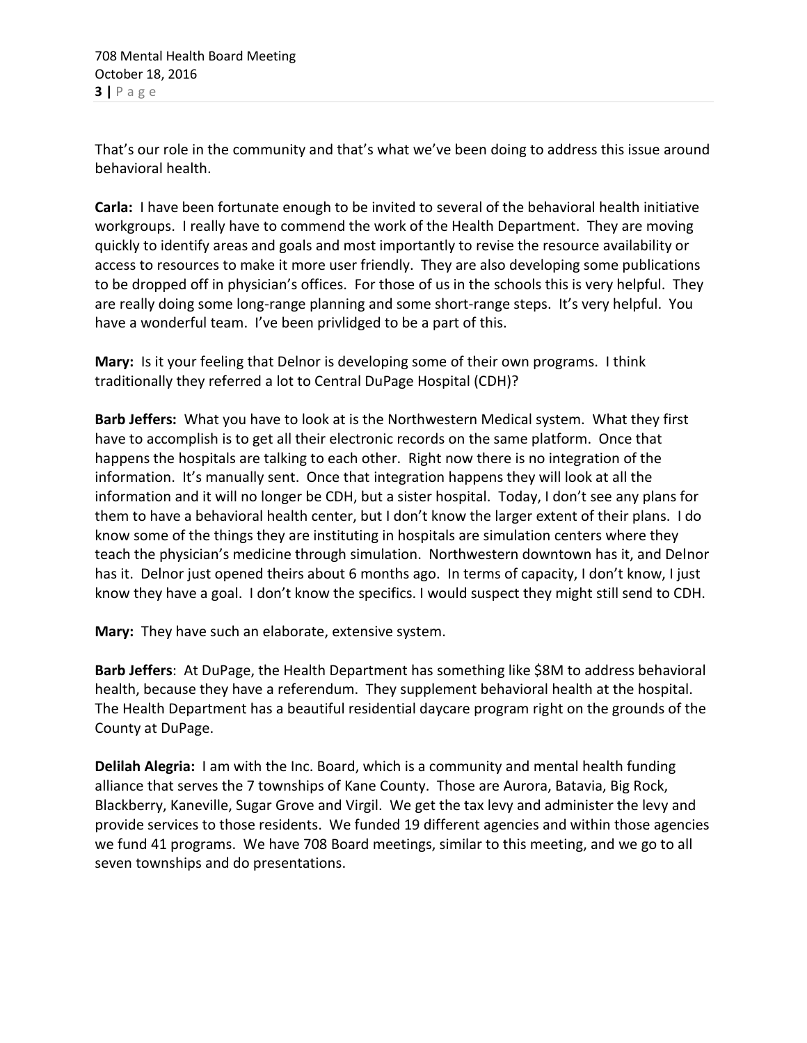That's our role in the community and that's what we've been doing to address this issue around behavioral health.

**Carla:** I have been fortunate enough to be invited to several of the behavioral health initiative workgroups. I really have to commend the work of the Health Department. They are moving quickly to identify areas and goals and most importantly to revise the resource availability or access to resources to make it more user friendly. They are also developing some publications to be dropped off in physician's offices. For those of us in the schools this is very helpful. They are really doing some long-range planning and some short-range steps. It's very helpful. You have a wonderful team. I've been privlidged to be a part of this.

**Mary:** Is it your feeling that Delnor is developing some of their own programs. I think traditionally they referred a lot to Central DuPage Hospital (CDH)?

**Barb Jeffers:** What you have to look at is the Northwestern Medical system. What they first have to accomplish is to get all their electronic records on the same platform. Once that happens the hospitals are talking to each other. Right now there is no integration of the information. It's manually sent. Once that integration happens they will look at all the information and it will no longer be CDH, but a sister hospital. Today, I don't see any plans for them to have a behavioral health center, but I don't know the larger extent of their plans. I do know some of the things they are instituting in hospitals are simulation centers where they teach the physician's medicine through simulation. Northwestern downtown has it, and Delnor has it. Delnor just opened theirs about 6 months ago. In terms of capacity, I don't know, I just know they have a goal. I don't know the specifics. I would suspect they might still send to CDH.

**Mary:** They have such an elaborate, extensive system.

**Barb Jeffers**: At DuPage, the Health Department has something like \$8M to address behavioral health, because they have a referendum. They supplement behavioral health at the hospital. The Health Department has a beautiful residential daycare program right on the grounds of the County at DuPage.

**Delilah Alegria:** I am with the Inc. Board, which is a community and mental health funding alliance that serves the 7 townships of Kane County. Those are Aurora, Batavia, Big Rock, Blackberry, Kaneville, Sugar Grove and Virgil. We get the tax levy and administer the levy and provide services to those residents. We funded 19 different agencies and within those agencies we fund 41 programs. We have 708 Board meetings, similar to this meeting, and we go to all seven townships and do presentations.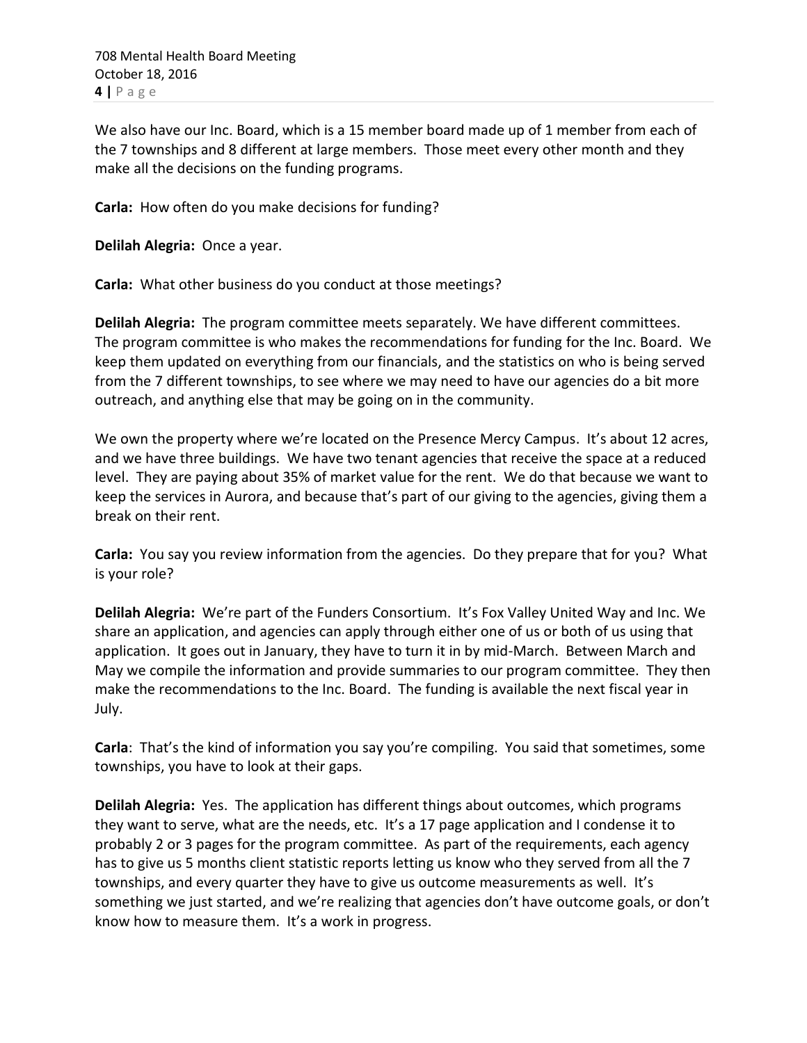We also have our Inc. Board, which is a 15 member board made up of 1 member from each of the 7 townships and 8 different at large members. Those meet every other month and they make all the decisions on the funding programs.

**Carla:** How often do you make decisions for funding?

**Delilah Alegria:** Once a year.

**Carla:** What other business do you conduct at those meetings?

**Delilah Alegria:** The program committee meets separately. We have different committees. The program committee is who makes the recommendations for funding for the Inc. Board. We keep them updated on everything from our financials, and the statistics on who is being served from the 7 different townships, to see where we may need to have our agencies do a bit more outreach, and anything else that may be going on in the community.

We own the property where we're located on the Presence Mercy Campus. It's about 12 acres, and we have three buildings. We have two tenant agencies that receive the space at a reduced level. They are paying about 35% of market value for the rent. We do that because we want to keep the services in Aurora, and because that's part of our giving to the agencies, giving them a break on their rent.

**Carla:** You say you review information from the agencies. Do they prepare that for you? What is your role?

**Delilah Alegria:** We're part of the Funders Consortium. It's Fox Valley United Way and Inc. We share an application, and agencies can apply through either one of us or both of us using that application. It goes out in January, they have to turn it in by mid-March. Between March and May we compile the information and provide summaries to our program committee. They then make the recommendations to the Inc. Board. The funding is available the next fiscal year in July.

**Carla**: That's the kind of information you say you're compiling. You said that sometimes, some townships, you have to look at their gaps.

**Delilah Alegria:** Yes. The application has different things about outcomes, which programs they want to serve, what are the needs, etc. It's a 17 page application and I condense it to probably 2 or 3 pages for the program committee. As part of the requirements, each agency has to give us 5 months client statistic reports letting us know who they served from all the 7 townships, and every quarter they have to give us outcome measurements as well. It's something we just started, and we're realizing that agencies don't have outcome goals, or don't know how to measure them. It's a work in progress.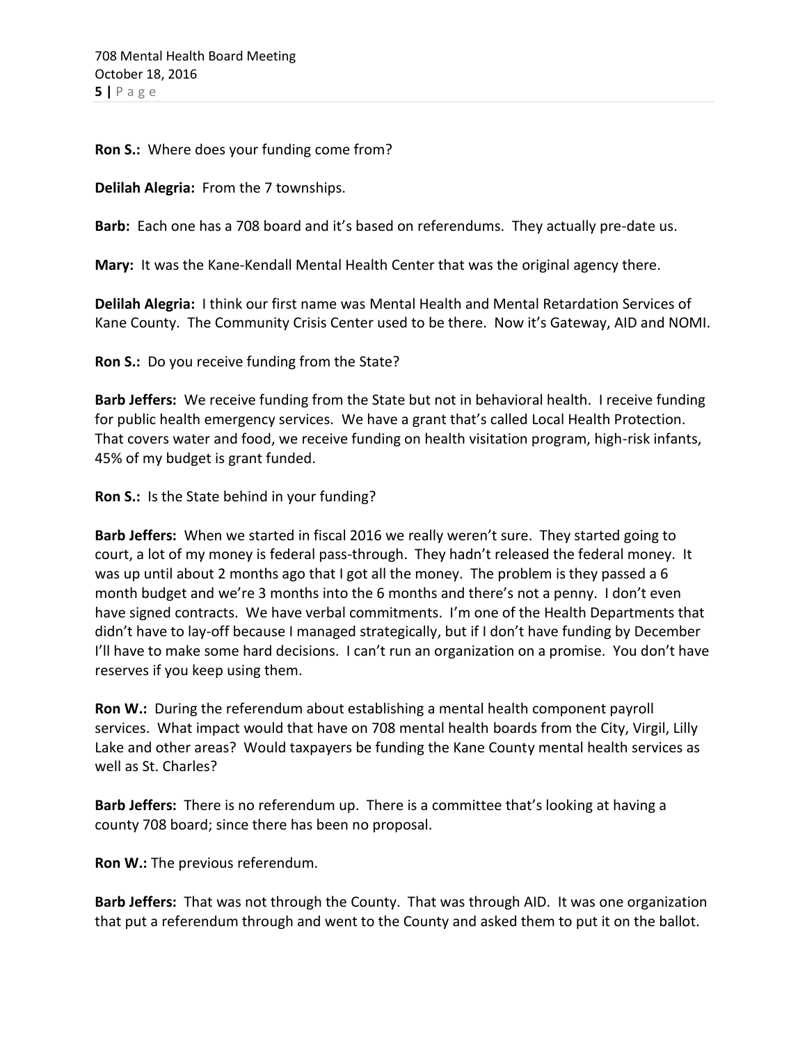**Ron S.:** Where does your funding come from?

**Delilah Alegria:** From the 7 townships.

**Barb:** Each one has a 708 board and it's based on referendums. They actually pre-date us.

**Mary:** It was the Kane-Kendall Mental Health Center that was the original agency there.

**Delilah Alegria:** I think our first name was Mental Health and Mental Retardation Services of Kane County. The Community Crisis Center used to be there. Now it's Gateway, AID and NOMI.

**Ron S.:** Do you receive funding from the State?

**Barb Jeffers:** We receive funding from the State but not in behavioral health. I receive funding for public health emergency services. We have a grant that's called Local Health Protection. That covers water and food, we receive funding on health visitation program, high-risk infants, 45% of my budget is grant funded.

**Ron S.:** Is the State behind in your funding?

**Barb Jeffers:** When we started in fiscal 2016 we really weren't sure. They started going to court, a lot of my money is federal pass-through. They hadn't released the federal money. It was up until about 2 months ago that I got all the money. The problem is they passed a 6 month budget and we're 3 months into the 6 months and there's not a penny. I don't even have signed contracts. We have verbal commitments. I'm one of the Health Departments that didn't have to lay-off because I managed strategically, but if I don't have funding by December I'll have to make some hard decisions. I can't run an organization on a promise. You don't have reserves if you keep using them.

**Ron W.:** During the referendum about establishing a mental health component payroll services. What impact would that have on 708 mental health boards from the City, Virgil, Lilly Lake and other areas? Would taxpayers be funding the Kane County mental health services as well as St. Charles?

**Barb Jeffers:** There is no referendum up. There is a committee that's looking at having a county 708 board; since there has been no proposal.

**Ron W.:** The previous referendum.

**Barb Jeffers:** That was not through the County. That was through AID. It was one organization that put a referendum through and went to the County and asked them to put it on the ballot.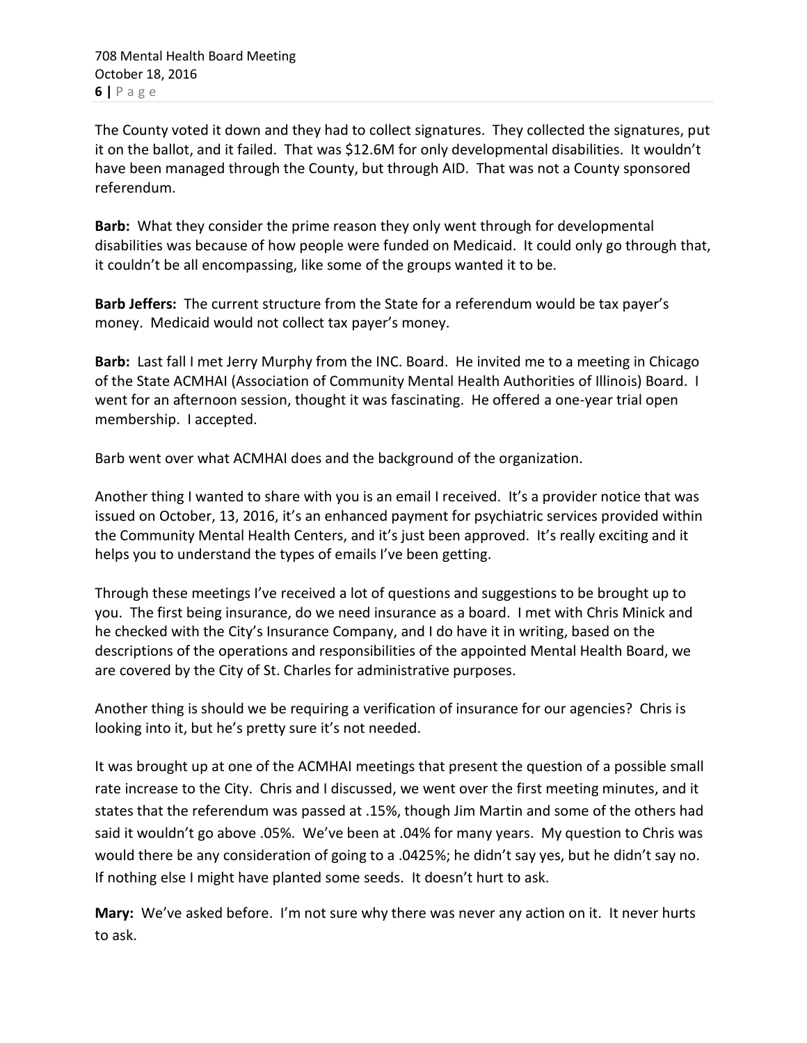The County voted it down and they had to collect signatures. They collected the signatures, put it on the ballot, and it failed. That was \$12.6M for only developmental disabilities. It wouldn't have been managed through the County, but through AID. That was not a County sponsored referendum.

**Barb:** What they consider the prime reason they only went through for developmental disabilities was because of how people were funded on Medicaid. It could only go through that, it couldn't be all encompassing, like some of the groups wanted it to be.

**Barb Jeffers:** The current structure from the State for a referendum would be tax payer's money. Medicaid would not collect tax payer's money.

**Barb:** Last fall I met Jerry Murphy from the INC. Board. He invited me to a meeting in Chicago of the State ACMHAI (Association of Community Mental Health Authorities of Illinois) Board. I went for an afternoon session, thought it was fascinating. He offered a one-year trial open membership. I accepted.

Barb went over what ACMHAI does and the background of the organization.

Another thing I wanted to share with you is an email I received. It's a provider notice that was issued on October, 13, 2016, it's an enhanced payment for psychiatric services provided within the Community Mental Health Centers, and it's just been approved. It's really exciting and it helps you to understand the types of emails I've been getting.

Through these meetings I've received a lot of questions and suggestions to be brought up to you. The first being insurance, do we need insurance as a board. I met with Chris Minick and he checked with the City's Insurance Company, and I do have it in writing, based on the descriptions of the operations and responsibilities of the appointed Mental Health Board, we are covered by the City of St. Charles for administrative purposes.

Another thing is should we be requiring a verification of insurance for our agencies? Chris is looking into it, but he's pretty sure it's not needed.

It was brought up at one of the ACMHAI meetings that present the question of a possible small rate increase to the City. Chris and I discussed, we went over the first meeting minutes, and it states that the referendum was passed at .15%, though Jim Martin and some of the others had said it wouldn't go above .05%. We've been at .04% for many years. My question to Chris was would there be any consideration of going to a .0425%; he didn't say yes, but he didn't say no. If nothing else I might have planted some seeds. It doesn't hurt to ask.

**Mary:** We've asked before. I'm not sure why there was never any action on it. It never hurts to ask.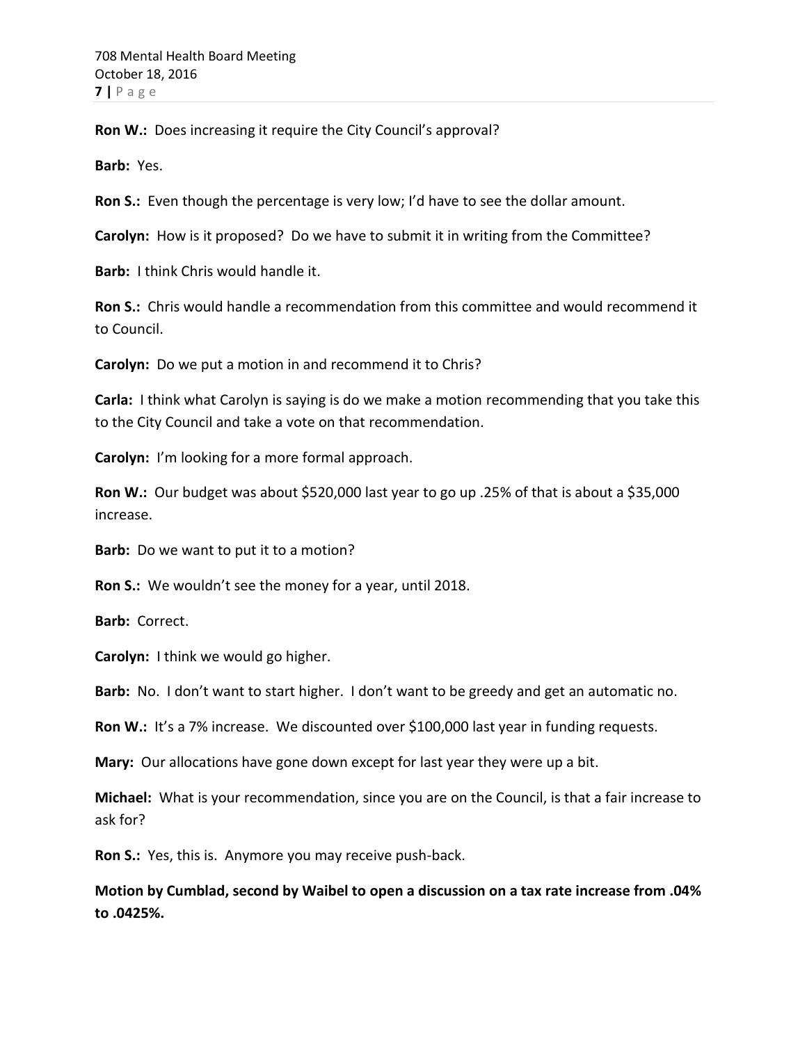**Ron W.:** Does increasing it require the City Council's approval?

**Barb:** Yes.

**Ron S.:** Even though the percentage is very low; I'd have to see the dollar amount.

**Carolyn:** How is it proposed? Do we have to submit it in writing from the Committee?

**Barb:** I think Chris would handle it.

**Ron S.:** Chris would handle a recommendation from this committee and would recommend it to Council.

**Carolyn:** Do we put a motion in and recommend it to Chris?

**Carla:** I think what Carolyn is saying is do we make a motion recommending that you take this to the City Council and take a vote on that recommendation.

**Carolyn:** I'm looking for a more formal approach.

Ron W.: Our budget was about \$520,000 last year to go up .25% of that is about a \$35,000 increase.

**Barb:** Do we want to put it to a motion?

**Ron S.:** We wouldn't see the money for a year, until 2018.

**Barb:** Correct.

**Carolyn:** I think we would go higher.

**Barb:** No. I don't want to start higher. I don't want to be greedy and get an automatic no.

**Ron W.:** It's a 7% increase. We discounted over \$100,000 last year in funding requests.

**Mary:** Our allocations have gone down except for last year they were up a bit.

**Michael:** What is your recommendation, since you are on the Council, is that a fair increase to ask for?

**Ron S.:** Yes, this is. Anymore you may receive push-back.

**Motion by Cumblad, second by Waibel to open a discussion on a tax rate increase from .04% to .0425%.**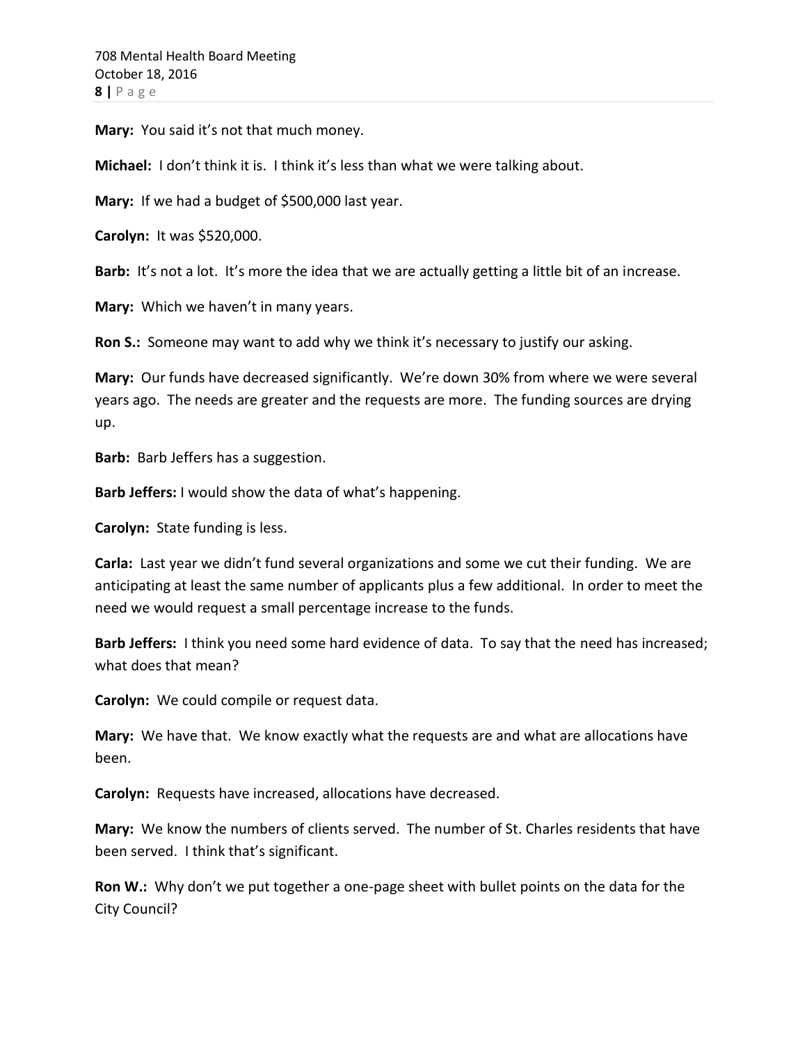**Mary:** You said it's not that much money.

**Michael:** I don't think it is. I think it's less than what we were talking about.

**Mary:** If we had a budget of \$500,000 last year.

**Carolyn:** It was \$520,000.

**Barb:** It's not a lot. It's more the idea that we are actually getting a little bit of an increase.

**Mary:** Which we haven't in many years.

**Ron S.:** Someone may want to add why we think it's necessary to justify our asking.

**Mary:** Our funds have decreased significantly. We're down 30% from where we were several years ago. The needs are greater and the requests are more. The funding sources are drying up.

**Barb:** Barb Jeffers has a suggestion.

**Barb Jeffers:** I would show the data of what's happening.

**Carolyn:** State funding is less.

**Carla:** Last year we didn't fund several organizations and some we cut their funding. We are anticipating at least the same number of applicants plus a few additional. In order to meet the need we would request a small percentage increase to the funds.

**Barb Jeffers:** I think you need some hard evidence of data. To say that the need has increased; what does that mean?

**Carolyn:** We could compile or request data.

**Mary:** We have that. We know exactly what the requests are and what are allocations have been.

**Carolyn:** Requests have increased, allocations have decreased.

**Mary:** We know the numbers of clients served. The number of St. Charles residents that have been served. I think that's significant.

**Ron W.:** Why don't we put together a one-page sheet with bullet points on the data for the City Council?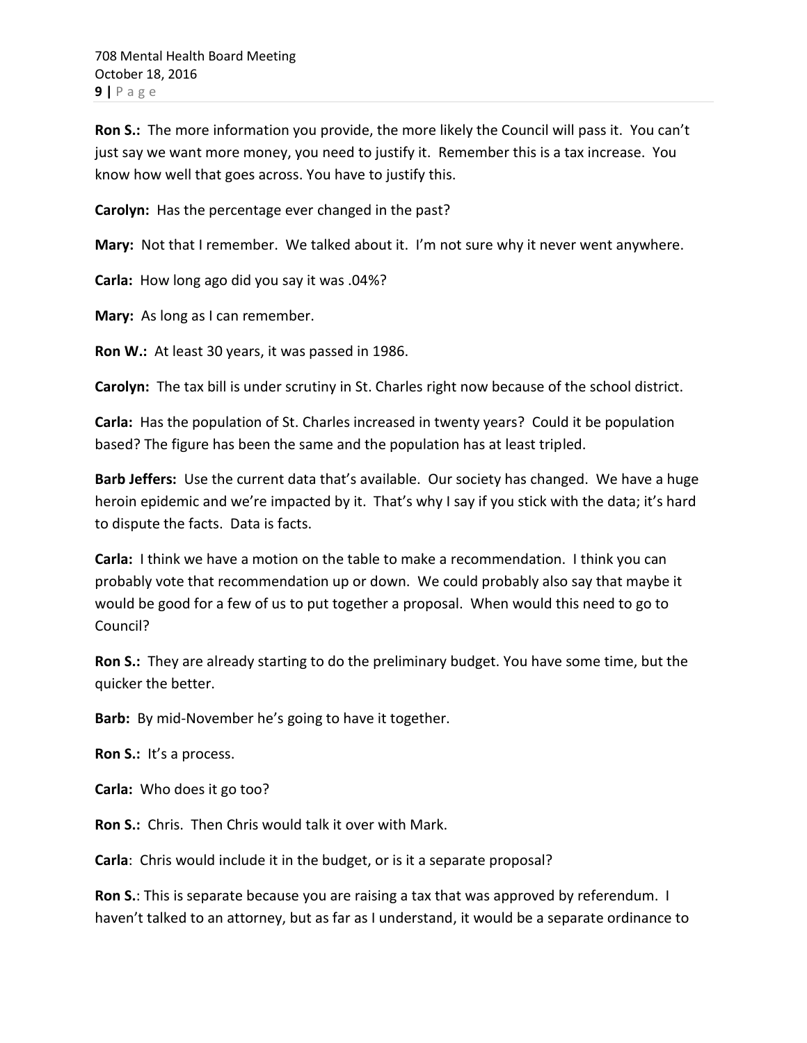**Ron S.:** The more information you provide, the more likely the Council will pass it. You can't just say we want more money, you need to justify it. Remember this is a tax increase. You know how well that goes across. You have to justify this.

**Carolyn:** Has the percentage ever changed in the past?

**Mary:** Not that I remember. We talked about it. I'm not sure why it never went anywhere.

**Carla:** How long ago did you say it was .04%?

**Mary:** As long as I can remember.

**Ron W.:** At least 30 years, it was passed in 1986.

**Carolyn:** The tax bill is under scrutiny in St. Charles right now because of the school district.

**Carla:** Has the population of St. Charles increased in twenty years? Could it be population based? The figure has been the same and the population has at least tripled.

**Barb Jeffers:** Use the current data that's available. Our society has changed. We have a huge heroin epidemic and we're impacted by it. That's why I say if you stick with the data; it's hard to dispute the facts. Data is facts.

**Carla:** I think we have a motion on the table to make a recommendation. I think you can probably vote that recommendation up or down. We could probably also say that maybe it would be good for a few of us to put together a proposal. When would this need to go to Council?

**Ron S.:** They are already starting to do the preliminary budget. You have some time, but the quicker the better.

**Barb:** By mid-November he's going to have it together.

**Ron S.:** It's a process.

**Carla:** Who does it go too?

**Ron S.:** Chris. Then Chris would talk it over with Mark.

**Carla**: Chris would include it in the budget, or is it a separate proposal?

**Ron S.**: This is separate because you are raising a tax that was approved by referendum. I haven't talked to an attorney, but as far as I understand, it would be a separate ordinance to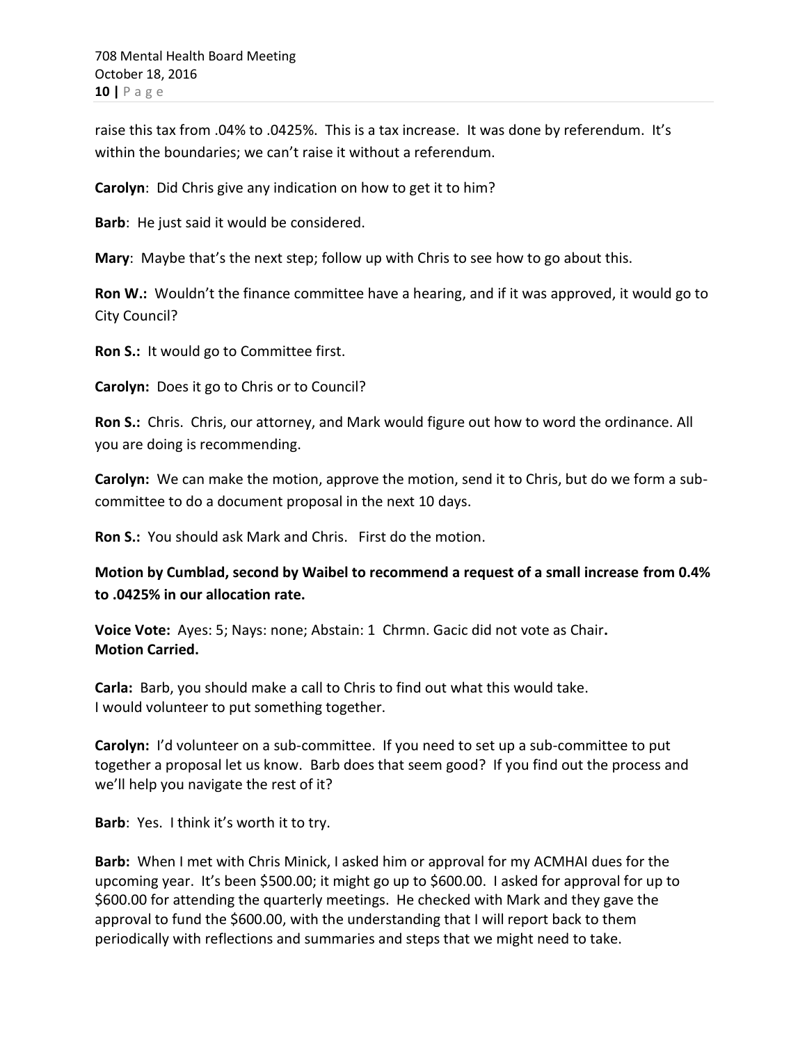raise this tax from .04% to .0425%. This is a tax increase. It was done by referendum. It's within the boundaries; we can't raise it without a referendum.

**Carolyn**: Did Chris give any indication on how to get it to him?

**Barb**: He just said it would be considered.

**Mary**: Maybe that's the next step; follow up with Chris to see how to go about this.

**Ron W.:** Wouldn't the finance committee have a hearing, and if it was approved, it would go to City Council?

**Ron S.:** It would go to Committee first.

**Carolyn:** Does it go to Chris or to Council?

**Ron S.:** Chris. Chris, our attorney, and Mark would figure out how to word the ordinance. All you are doing is recommending.

**Carolyn:** We can make the motion, approve the motion, send it to Chris, but do we form a subcommittee to do a document proposal in the next 10 days.

**Ron S.:** You should ask Mark and Chris. First do the motion.

**Motion by Cumblad, second by Waibel to recommend a request of a small increase from 0.4% to .0425% in our allocation rate.**

**Voice Vote:** Ayes: 5; Nays: none; Abstain: 1 Chrmn. Gacic did not vote as Chair**. Motion Carried.**

**Carla:** Barb, you should make a call to Chris to find out what this would take. I would volunteer to put something together.

**Carolyn:** I'd volunteer on a sub-committee. If you need to set up a sub-committee to put together a proposal let us know. Barb does that seem good? If you find out the process and we'll help you navigate the rest of it?

**Barb**: Yes. I think it's worth it to try.

**Barb:** When I met with Chris Minick, I asked him or approval for my ACMHAI dues for the upcoming year. It's been \$500.00; it might go up to \$600.00. I asked for approval for up to \$600.00 for attending the quarterly meetings. He checked with Mark and they gave the approval to fund the \$600.00, with the understanding that I will report back to them periodically with reflections and summaries and steps that we might need to take.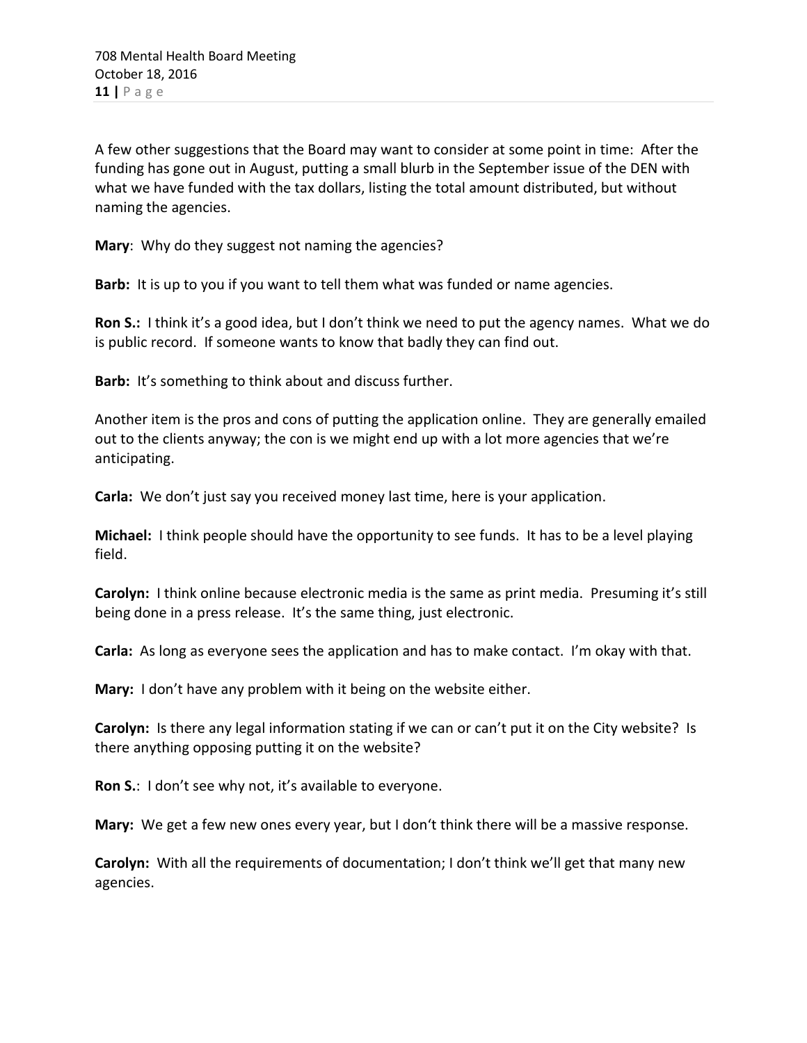A few other suggestions that the Board may want to consider at some point in time: After the funding has gone out in August, putting a small blurb in the September issue of the DEN with what we have funded with the tax dollars, listing the total amount distributed, but without naming the agencies.

**Mary**: Why do they suggest not naming the agencies?

**Barb:** It is up to you if you want to tell them what was funded or name agencies.

**Ron S.:** I think it's a good idea, but I don't think we need to put the agency names. What we do is public record. If someone wants to know that badly they can find out.

**Barb:** It's something to think about and discuss further.

Another item is the pros and cons of putting the application online. They are generally emailed out to the clients anyway; the con is we might end up with a lot more agencies that we're anticipating.

**Carla:** We don't just say you received money last time, here is your application.

**Michael:** I think people should have the opportunity to see funds. It has to be a level playing field.

**Carolyn:** I think online because electronic media is the same as print media. Presuming it's still being done in a press release. It's the same thing, just electronic.

**Carla:** As long as everyone sees the application and has to make contact. I'm okay with that.

**Mary:** I don't have any problem with it being on the website either.

**Carolyn:** Is there any legal information stating if we can or can't put it on the City website? Is there anything opposing putting it on the website?

**Ron S.**: I don't see why not, it's available to everyone.

**Mary:** We get a few new ones every year, but I don't think there will be a massive response.

**Carolyn:** With all the requirements of documentation; I don't think we'll get that many new agencies.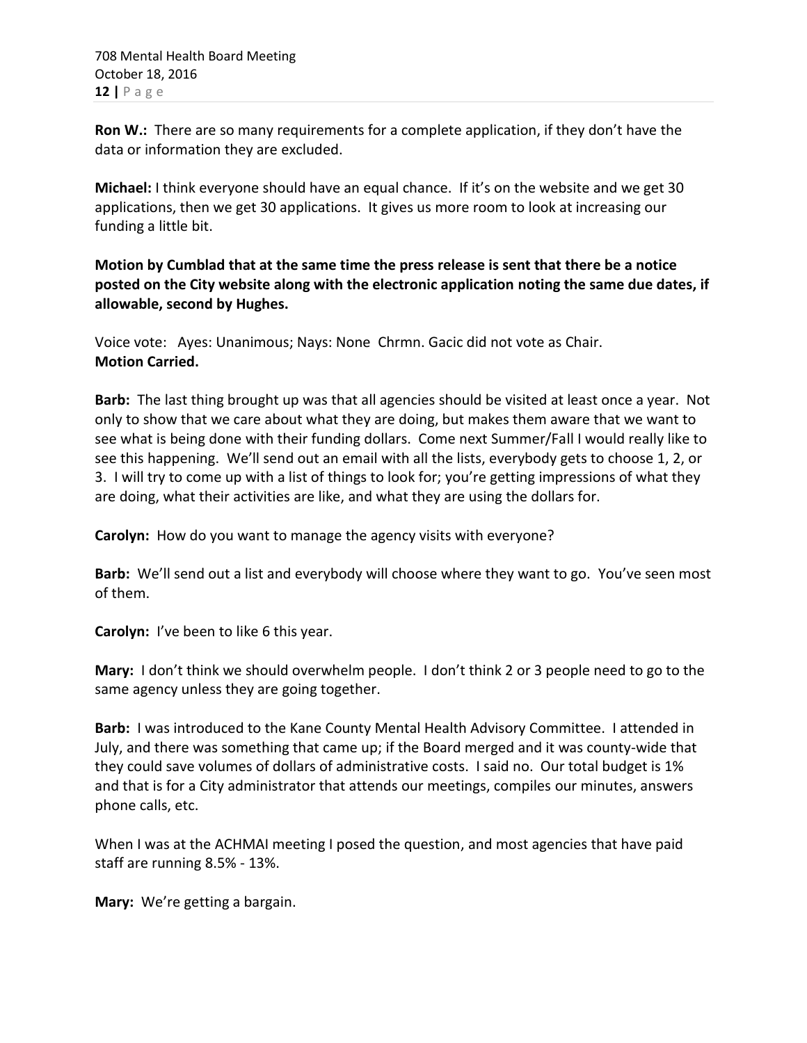**Ron W.:** There are so many requirements for a complete application, if they don't have the data or information they are excluded.

**Michael:** I think everyone should have an equal chance. If it's on the website and we get 30 applications, then we get 30 applications. It gives us more room to look at increasing our funding a little bit.

**Motion by Cumblad that at the same time the press release is sent that there be a notice posted on the City website along with the electronic application noting the same due dates, if allowable, second by Hughes.**

Voice vote: Ayes: Unanimous; Nays: None Chrmn. Gacic did not vote as Chair. **Motion Carried.**

**Barb:** The last thing brought up was that all agencies should be visited at least once a year. Not only to show that we care about what they are doing, but makes them aware that we want to see what is being done with their funding dollars. Come next Summer/Fall I would really like to see this happening. We'll send out an email with all the lists, everybody gets to choose 1, 2, or 3. I will try to come up with a list of things to look for; you're getting impressions of what they are doing, what their activities are like, and what they are using the dollars for.

**Carolyn:** How do you want to manage the agency visits with everyone?

**Barb:** We'll send out a list and everybody will choose where they want to go. You've seen most of them.

**Carolyn:** I've been to like 6 this year.

**Mary:** I don't think we should overwhelm people. I don't think 2 or 3 people need to go to the same agency unless they are going together.

**Barb:** I was introduced to the Kane County Mental Health Advisory Committee. I attended in July, and there was something that came up; if the Board merged and it was county-wide that they could save volumes of dollars of administrative costs. I said no. Our total budget is 1% and that is for a City administrator that attends our meetings, compiles our minutes, answers phone calls, etc.

When I was at the ACHMAI meeting I posed the question, and most agencies that have paid staff are running 8.5% - 13%.

**Mary:** We're getting a bargain.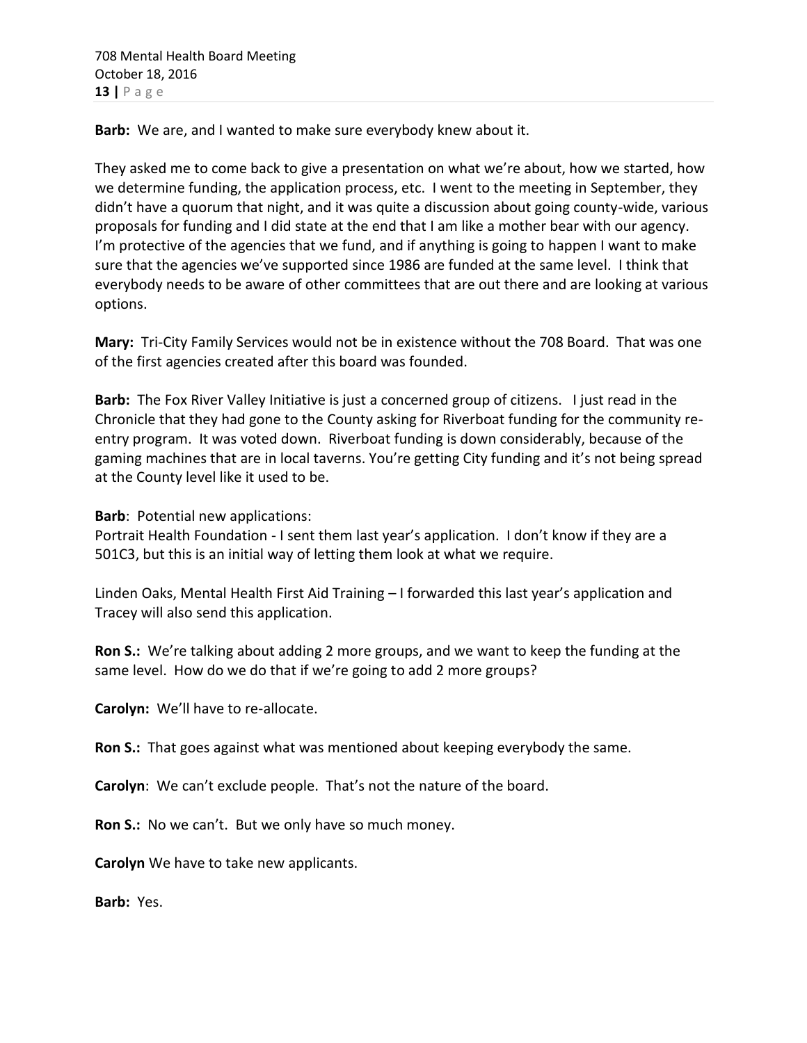**Barb:** We are, and I wanted to make sure everybody knew about it.

They asked me to come back to give a presentation on what we're about, how we started, how we determine funding, the application process, etc. I went to the meeting in September, they didn't have a quorum that night, and it was quite a discussion about going county-wide, various proposals for funding and I did state at the end that I am like a mother bear with our agency. I'm protective of the agencies that we fund, and if anything is going to happen I want to make sure that the agencies we've supported since 1986 are funded at the same level. I think that everybody needs to be aware of other committees that are out there and are looking at various options.

**Mary:** Tri-City Family Services would not be in existence without the 708 Board. That was one of the first agencies created after this board was founded.

**Barb:** The Fox River Valley Initiative is just a concerned group of citizens. I just read in the Chronicle that they had gone to the County asking for Riverboat funding for the community reentry program. It was voted down. Riverboat funding is down considerably, because of the gaming machines that are in local taverns. You're getting City funding and it's not being spread at the County level like it used to be.

**Barb**: Potential new applications:

Portrait Health Foundation - I sent them last year's application. I don't know if they are a 501C3, but this is an initial way of letting them look at what we require.

Linden Oaks, Mental Health First Aid Training – I forwarded this last year's application and Tracey will also send this application.

**Ron S.:** We're talking about adding 2 more groups, and we want to keep the funding at the same level. How do we do that if we're going to add 2 more groups?

**Carolyn:** We'll have to re-allocate.

**Ron S.:** That goes against what was mentioned about keeping everybody the same.

**Carolyn**: We can't exclude people. That's not the nature of the board.

**Ron S.:** No we can't. But we only have so much money.

**Carolyn** We have to take new applicants.

**Barb:** Yes.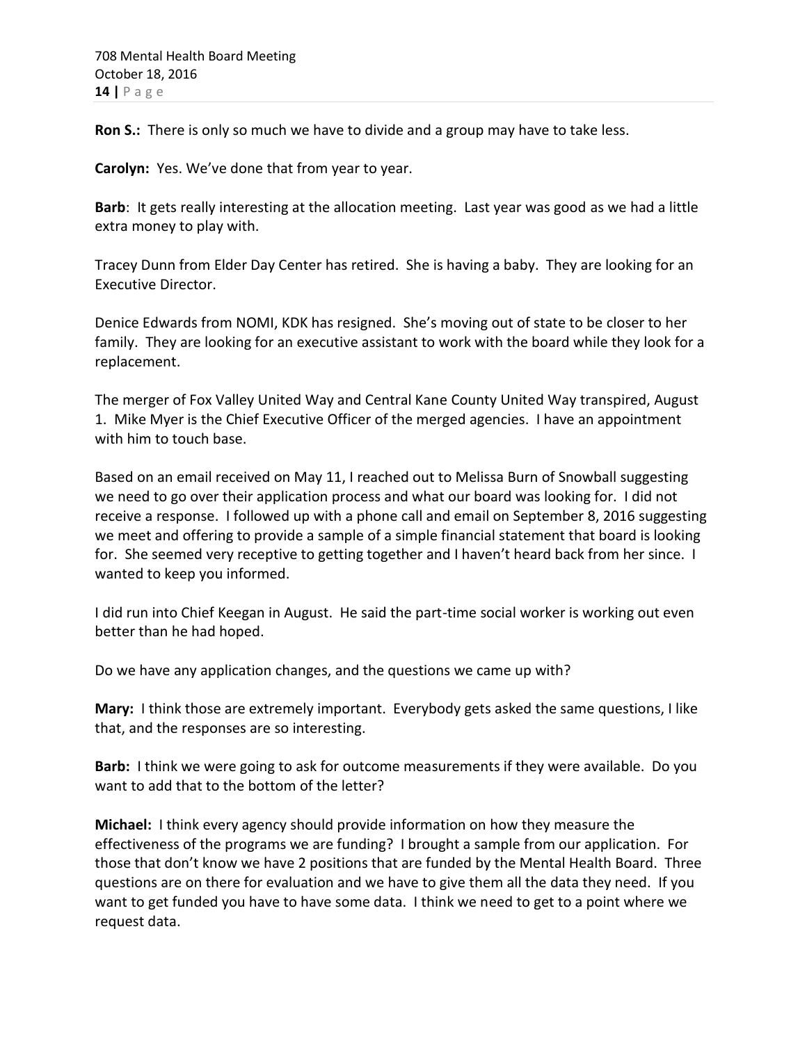**Ron S.:** There is only so much we have to divide and a group may have to take less.

**Carolyn:** Yes. We've done that from year to year.

**Barb**: It gets really interesting at the allocation meeting. Last year was good as we had a little extra money to play with.

Tracey Dunn from Elder Day Center has retired. She is having a baby. They are looking for an Executive Director.

Denice Edwards from NOMI, KDK has resigned. She's moving out of state to be closer to her family. They are looking for an executive assistant to work with the board while they look for a replacement.

The merger of Fox Valley United Way and Central Kane County United Way transpired, August 1. Mike Myer is the Chief Executive Officer of the merged agencies. I have an appointment with him to touch base.

Based on an email received on May 11, I reached out to Melissa Burn of Snowball suggesting we need to go over their application process and what our board was looking for. I did not receive a response. I followed up with a phone call and email on September 8, 2016 suggesting we meet and offering to provide a sample of a simple financial statement that board is looking for. She seemed very receptive to getting together and I haven't heard back from her since. I wanted to keep you informed.

I did run into Chief Keegan in August. He said the part-time social worker is working out even better than he had hoped.

Do we have any application changes, and the questions we came up with?

**Mary:** I think those are extremely important. Everybody gets asked the same questions, I like that, and the responses are so interesting.

**Barb:** I think we were going to ask for outcome measurements if they were available. Do you want to add that to the bottom of the letter?

**Michael:** I think every agency should provide information on how they measure the effectiveness of the programs we are funding? I brought a sample from our application. For those that don't know we have 2 positions that are funded by the Mental Health Board. Three questions are on there for evaluation and we have to give them all the data they need. If you want to get funded you have to have some data. I think we need to get to a point where we request data.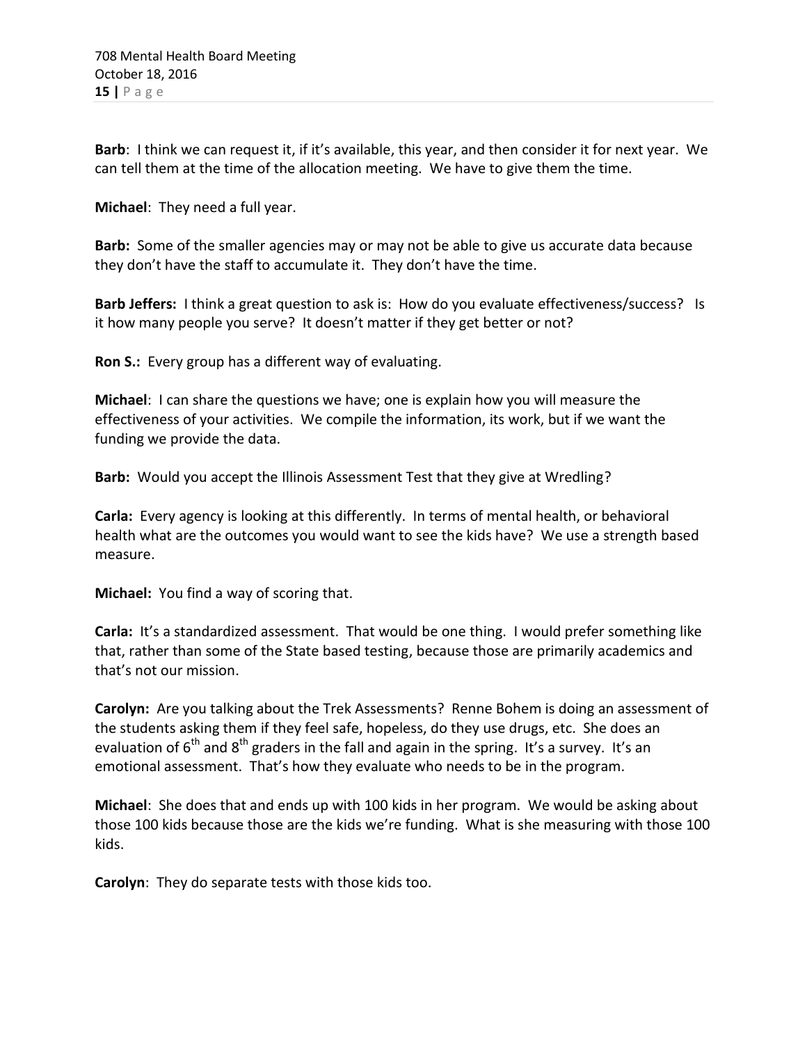**Barb**: I think we can request it, if it's available, this year, and then consider it for next year. We can tell them at the time of the allocation meeting. We have to give them the time.

**Michael**: They need a full year.

**Barb:** Some of the smaller agencies may or may not be able to give us accurate data because they don't have the staff to accumulate it. They don't have the time.

**Barb Jeffers:** I think a great question to ask is: How do you evaluate effectiveness/success? Is it how many people you serve? It doesn't matter if they get better or not?

**Ron S.:** Every group has a different way of evaluating.

**Michael**: I can share the questions we have; one is explain how you will measure the effectiveness of your activities. We compile the information, its work, but if we want the funding we provide the data.

**Barb:** Would you accept the Illinois Assessment Test that they give at Wredling?

**Carla:** Every agency is looking at this differently. In terms of mental health, or behavioral health what are the outcomes you would want to see the kids have? We use a strength based measure.

**Michael:** You find a way of scoring that.

**Carla:** It's a standardized assessment. That would be one thing. I would prefer something like that, rather than some of the State based testing, because those are primarily academics and that's not our mission.

**Carolyn:** Are you talking about the Trek Assessments? Renne Bohem is doing an assessment of the students asking them if they feel safe, hopeless, do they use drugs, etc. She does an evaluation of  $6<sup>th</sup>$  and  $8<sup>th</sup>$  graders in the fall and again in the spring. It's a survey. It's an emotional assessment. That's how they evaluate who needs to be in the program.

**Michael**: She does that and ends up with 100 kids in her program. We would be asking about those 100 kids because those are the kids we're funding. What is she measuring with those 100 kids.

**Carolyn**: They do separate tests with those kids too.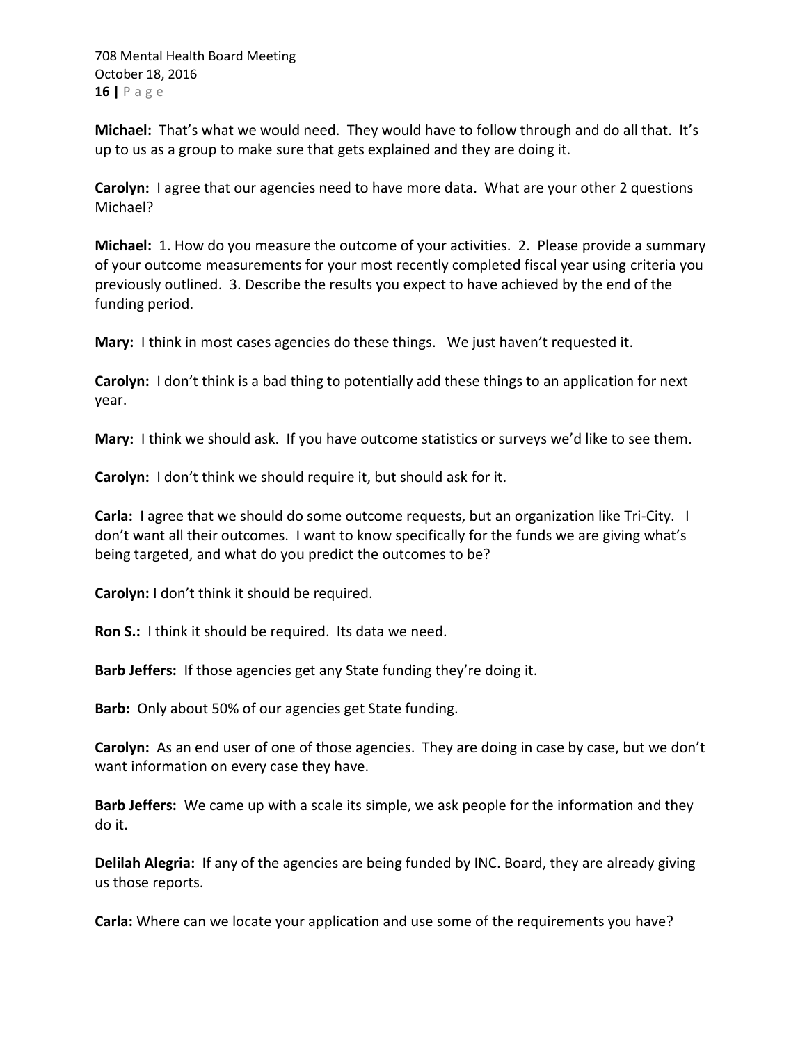**Michael:** That's what we would need. They would have to follow through and do all that. It's up to us as a group to make sure that gets explained and they are doing it.

**Carolyn:** I agree that our agencies need to have more data. What are your other 2 questions Michael?

**Michael:** 1. How do you measure the outcome of your activities. 2. Please provide a summary of your outcome measurements for your most recently completed fiscal year using criteria you previously outlined. 3. Describe the results you expect to have achieved by the end of the funding period.

**Mary:** I think in most cases agencies do these things. We just haven't requested it.

**Carolyn:** I don't think is a bad thing to potentially add these things to an application for next year.

**Mary:** I think we should ask. If you have outcome statistics or surveys we'd like to see them.

**Carolyn:** I don't think we should require it, but should ask for it.

**Carla:** I agree that we should do some outcome requests, but an organization like Tri-City. I don't want all their outcomes. I want to know specifically for the funds we are giving what's being targeted, and what do you predict the outcomes to be?

**Carolyn:** I don't think it should be required.

**Ron S.:** I think it should be required. Its data we need.

**Barb Jeffers:** If those agencies get any State funding they're doing it.

**Barb:** Only about 50% of our agencies get State funding.

**Carolyn:** As an end user of one of those agencies. They are doing in case by case, but we don't want information on every case they have.

**Barb Jeffers:** We came up with a scale its simple, we ask people for the information and they do it.

**Delilah Alegria:** If any of the agencies are being funded by INC. Board, they are already giving us those reports.

**Carla:** Where can we locate your application and use some of the requirements you have?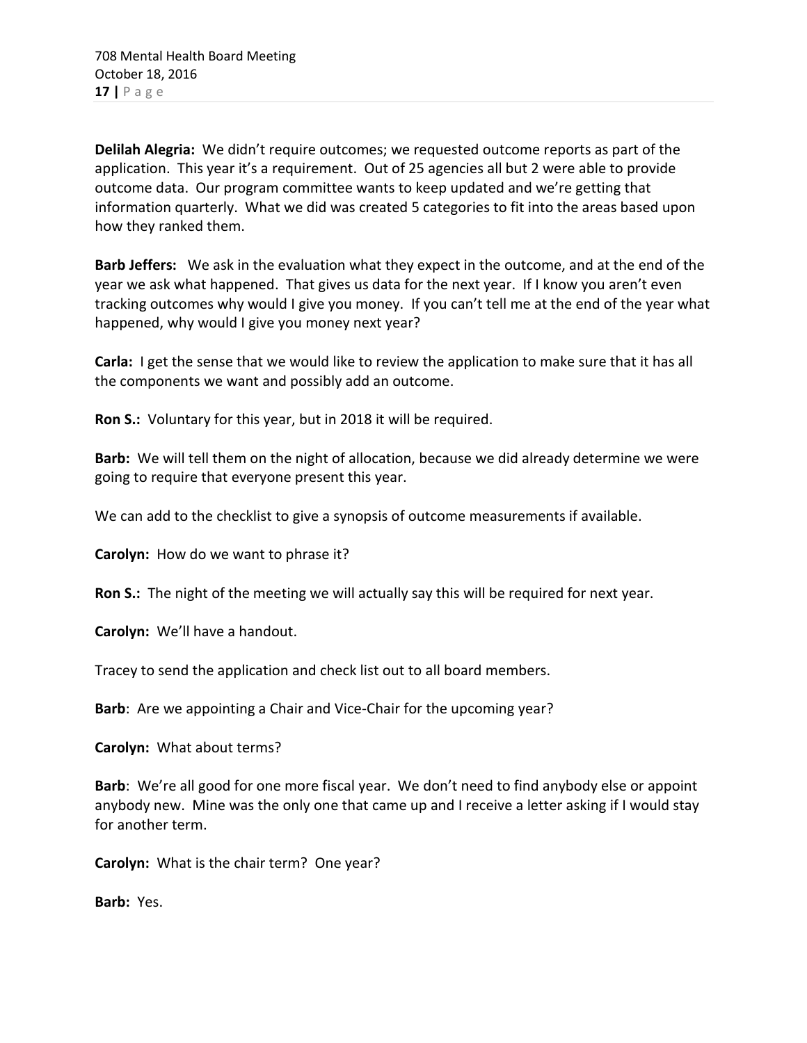**Delilah Alegria:** We didn't require outcomes; we requested outcome reports as part of the application. This year it's a requirement. Out of 25 agencies all but 2 were able to provide outcome data. Our program committee wants to keep updated and we're getting that information quarterly. What we did was created 5 categories to fit into the areas based upon how they ranked them.

**Barb Jeffers:** We ask in the evaluation what they expect in the outcome, and at the end of the year we ask what happened. That gives us data for the next year. If I know you aren't even tracking outcomes why would I give you money. If you can't tell me at the end of the year what happened, why would I give you money next year?

**Carla:** I get the sense that we would like to review the application to make sure that it has all the components we want and possibly add an outcome.

**Ron S.:** Voluntary for this year, but in 2018 it will be required.

**Barb:** We will tell them on the night of allocation, because we did already determine we were going to require that everyone present this year.

We can add to the checklist to give a synopsis of outcome measurements if available.

**Carolyn:** How do we want to phrase it?

**Ron S.:** The night of the meeting we will actually say this will be required for next year.

**Carolyn:** We'll have a handout.

Tracey to send the application and check list out to all board members.

**Barb**: Are we appointing a Chair and Vice-Chair for the upcoming year?

**Carolyn:** What about terms?

**Barb**: We're all good for one more fiscal year. We don't need to find anybody else or appoint anybody new. Mine was the only one that came up and I receive a letter asking if I would stay for another term.

**Carolyn:** What is the chair term? One year?

**Barb:** Yes.